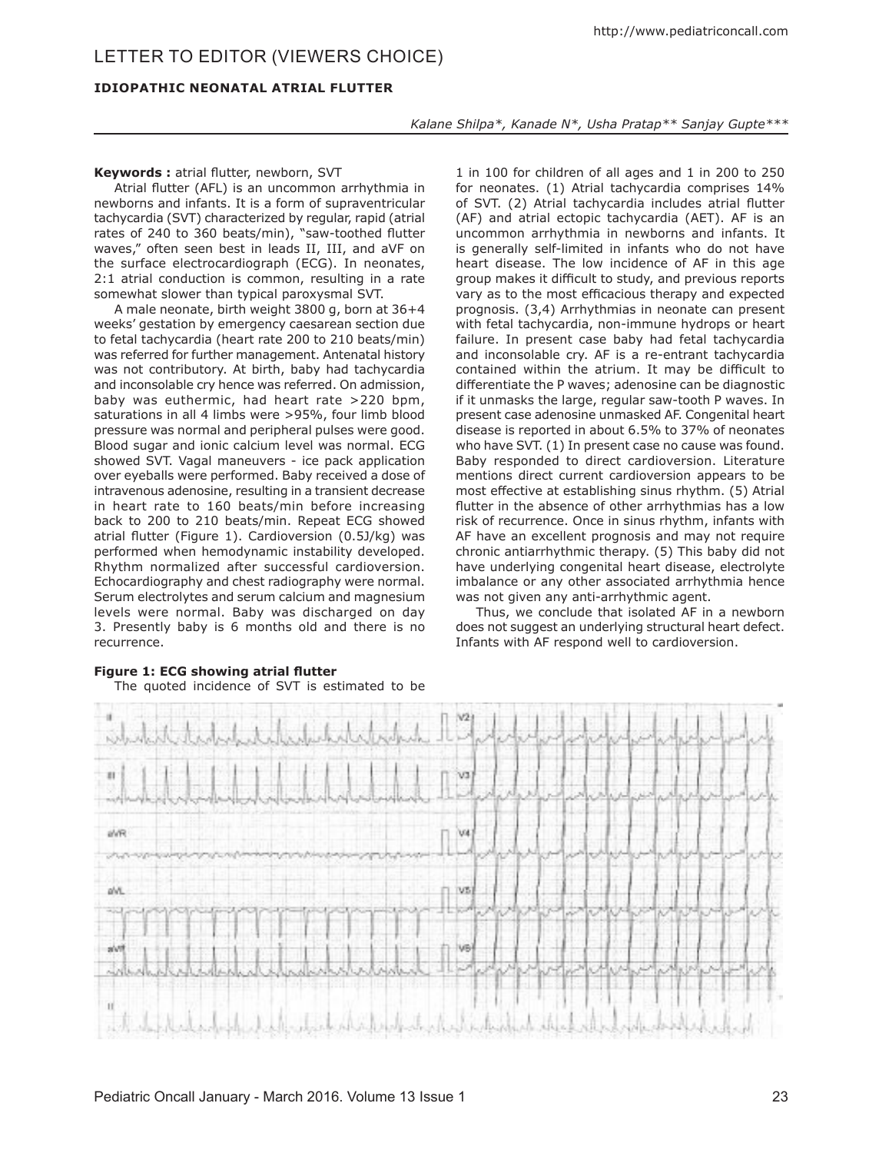## **IDIOPATHIC NEONATAL ATRIAL FLUTTER**

*Kalane Shilpa\*, Kanade N\*, Usha Pratap\*\* Sanjay Gupte\*\*\**

## **Keywords :** atrial flutter, newborn, SVT

Atrial flutter (AFL) is an uncommon arrhythmia in newborns and infants. It is a form of supraventricular tachycardia (SVT) characterized by regular, rapid (atrial rates of 240 to 360 beats/min), "saw-toothed flutter waves," often seen best in leads II, III, and aVF on the surface electrocardiograph (ECG). In neonates, 2:1 atrial conduction is common, resulting in a rate somewhat slower than typical paroxysmal SVT.

A male neonate, birth weight 3800 g, born at 36+4 weeks' gestation by emergency caesarean section due to fetal tachycardia (heart rate 200 to 210 beats/min) was referred for further management. Antenatal history was not contributory. At birth, baby had tachycardia and inconsolable cry hence was referred. On admission, baby was euthermic, had heart rate >220 bpm, saturations in all 4 limbs were >95%, four limb blood pressure was normal and peripheral pulses were good. Blood sugar and ionic calcium level was normal. ECG showed SVT. Vagal maneuvers - ice pack application over eyeballs were performed. Baby received a dose of intravenous adenosine, resulting in a transient decrease in heart rate to 160 beats/min before increasing back to 200 to 210 beats/min. Repeat ECG showed atrial flutter (Figure 1). Cardioversion (0.5J/kg) was performed when hemodynamic instability developed. Rhythm normalized after successful cardioversion. Echocardiography and chest radiography were normal. Serum electrolytes and serum calcium and magnesium levels were normal. Baby was discharged on day 3. Presently baby is 6 months old and there is no recurrence.

1 in 100 for children of all ages and 1 in 200 to 250 for neonates. (1) Atrial tachycardia comprises 14% of SVT. (2) Atrial tachycardia includes atrial flutter (AF) and atrial ectopic tachycardia (AET). AF is an uncommon arrhythmia in newborns and infants. It is generally self-limited in infants who do not have heart disease. The low incidence of AF in this age group makes it difficult to study, and previous reports vary as to the most efficacious therapy and expected prognosis. (3,4) Arrhythmias in neonate can present with fetal tachycardia, non-immune hydrops or heart failure. In present case baby had fetal tachycardia and inconsolable cry. AF is a re-entrant tachycardia contained within the atrium. It may be difficult to differentiate the P waves; adenosine can be diagnostic if it unmasks the large, regular saw-tooth P waves. In present case adenosine unmasked AF. Congenital heart disease is reported in about 6.5% to 37% of neonates who have SVT. (1) In present case no cause was found. Baby responded to direct cardioversion. Literature mentions direct current cardioversion appears to be most effective at establishing sinus rhythm. (5) Atrial flutter in the absence of other arrhythmias has a low risk of recurrence. Once in sinus rhythm, infants with AF have an excellent prognosis and may not require chronic antiarrhythmic therapy. (5) This baby did not have underlying congenital heart disease, electrolyte imbalance or any other associated arrhythmia hence was not given any anti-arrhythmic agent.

Thus, we conclude that isolated AF in a newborn does not suggest an underlying structural heart defect. Infants with AF respond well to cardioversion.



# **Figure 1: ECG showing atrial flutter**

The quoted incidence of SVT is estimated to be